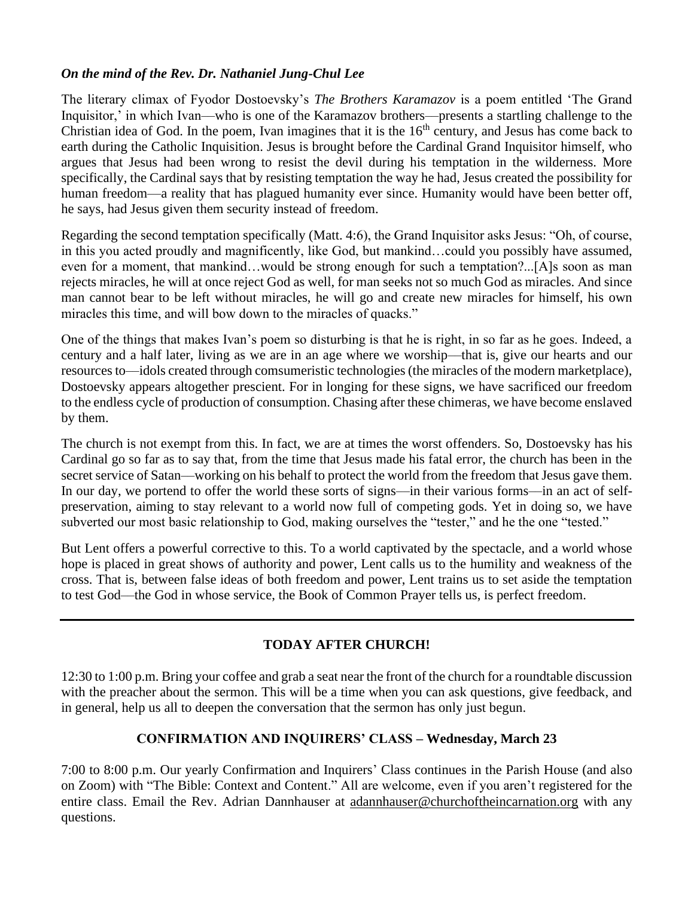### *On the mind of the Rev. Dr. Nathaniel Jung-Chul Lee*

The literary climax of Fyodor Dostoevsky's *The Brothers Karamazov* is a poem entitled 'The Grand Inquisitor,' in which Ivan––who is one of the Karamazov brothers––presents a startling challenge to the Christian idea of God. In the poem, Ivan imagines that it is the  $16<sup>th</sup>$  century, and Jesus has come back to earth during the Catholic Inquisition. Jesus is brought before the Cardinal Grand Inquisitor himself, who argues that Jesus had been wrong to resist the devil during his temptation in the wilderness. More specifically, the Cardinal says that by resisting temptation the way he had, Jesus created the possibility for human freedom—a reality that has plagued humanity ever since. Humanity would have been better off, he says, had Jesus given them security instead of freedom.

Regarding the second temptation specifically (Matt. 4:6), the Grand Inquisitor asks Jesus: "Oh, of course, in this you acted proudly and magnificently, like God, but mankind…could you possibly have assumed, even for a moment, that mankind…would be strong enough for such a temptation?...[A]s soon as man rejects miracles, he will at once reject God as well, for man seeks not so much God as miracles. And since man cannot bear to be left without miracles, he will go and create new miracles for himself, his own miracles this time, and will bow down to the miracles of quacks."

One of the things that makes Ivan's poem so disturbing is that he is right, in so far as he goes. Indeed, a century and a half later, living as we are in an age where we worship––that is, give our hearts and our resources to––idols created through comsumeristic technologies (the miracles of the modern marketplace), Dostoevsky appears altogether prescient. For in longing for these signs, we have sacrificed our freedom to the endless cycle of production of consumption. Chasing after these chimeras, we have become enslaved by them.

The church is not exempt from this. In fact, we are at times the worst offenders. So, Dostoevsky has his Cardinal go so far as to say that, from the time that Jesus made his fatal error, the church has been in the secret service of Satan––working on his behalf to protect the world from the freedom that Jesus gave them. In our day, we portend to offer the world these sorts of signs—in their various forms—in an act of selfpreservation, aiming to stay relevant to a world now full of competing gods. Yet in doing so, we have subverted our most basic relationship to God, making ourselves the "tester," and he the one "tested."

But Lent offers a powerful corrective to this. To a world captivated by the spectacle, and a world whose hope is placed in great shows of authority and power, Lent calls us to the humility and weakness of the cross. That is, between false ideas of both freedom and power, Lent trains us to set aside the temptation to test God––the God in whose service, the Book of Common Prayer tells us, is perfect freedom.

# **TODAY AFTER CHURCH!**

12:30 to 1:00 p.m. Bring your coffee and grab a seat near the front of the church for a roundtable discussion with the preacher about the sermon. This will be a time when you can ask questions, give feedback, and in general, help us all to deepen the conversation that the sermon has only just begun.

# **CONFIRMATION AND INQUIRERS' CLASS – Wednesday, March 23**

7:00 to 8:00 p.m. Our yearly Confirmation and Inquirers' Class continues in the Parish House (and also on Zoom) with "The Bible: Context and Content." All are welcome, even if you aren't registered for the entire class. Email the Rev. Adrian Dannhauser at [adannhauser@churchoftheincarnation.org](mailto:adannhauser@churchoftheincarnation.or) with any questions.